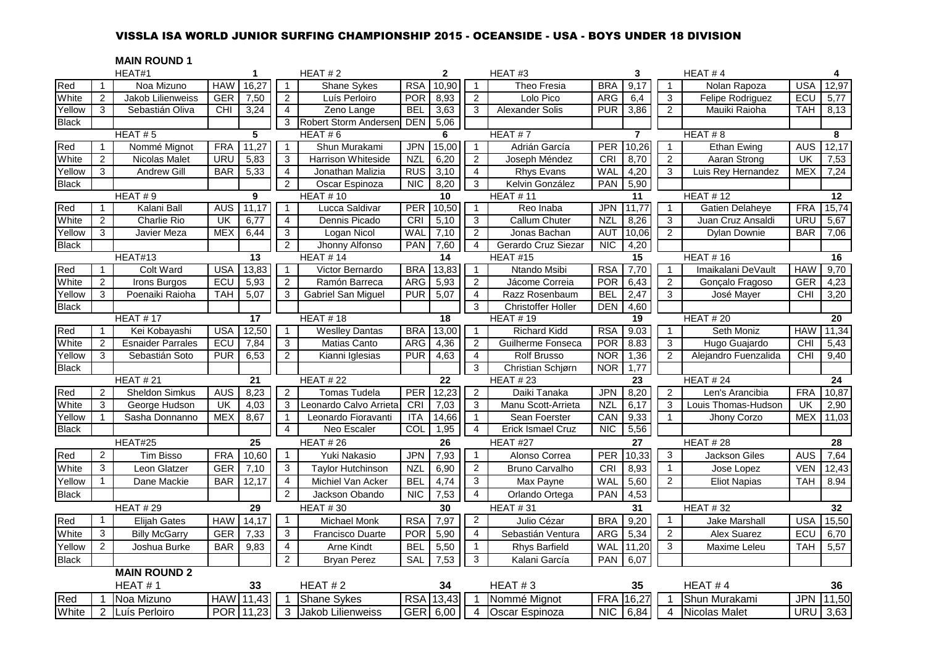# VISSLA ISA WORLD JUNIOR SURFING CHAMPIONSHIP 2015 - OCEANSIDE - USA - BOYS UNDER 18 DIVISION

## **MAIN ROUND 1**

|              |                | HEAT#1                   |            | $\mathbf{1}$ |                | HEAT $# 2$                |            | $\mathbf{2}$    |                         | HEAT#3                    |                | 3              |                | HEAT#4                 |            | 4        |
|--------------|----------------|--------------------------|------------|--------------|----------------|---------------------------|------------|-----------------|-------------------------|---------------------------|----------------|----------------|----------------|------------------------|------------|----------|
| Red          | $\mathbf{1}$   | Noa Mizuno               | <b>HAW</b> | 16,27        | $\mathbf{1}$   | <b>Shane Sykes</b>        | <b>RSA</b> | 10,90           | $\mathbf{1}$            | Theo Fresia               | <b>BRA</b>     | 9,17           | $\mathbf{1}$   | Nolan Rapoza           | <b>USA</b> | 12,97    |
| White        | 2              | Jakob Lilienweiss        | <b>GER</b> | 7,50         | $\overline{2}$ | Luís Perloiro             | <b>POR</b> | 8,93            | $\overline{c}$          | Lolo Pico                 | <b>ARG</b>     | 6,4            | 3              | Felipe Rodriguez       | ECU        | 5,77     |
| Yellow       | 3              | Sebastián Oliva          | <b>CHI</b> | 3,24         | $\overline{4}$ | Zeno Lange                | <b>BEL</b> | 3,63            | 3                       | Alexander Solis           | <b>PUR</b>     | 3,86           | 2              | Mauiki Raioha          | TAH        | 8,13     |
| <b>Black</b> |                |                          |            |              | 3              | Robert Storm Andersen     | <b>DEN</b> | 5,06            |                         |                           |                |                |                |                        |            |          |
|              |                | HEAT $# 5$               |            | 5            |                | HEAT#6                    |            | 6               |                         | HEAT#7                    |                | $\overline{7}$ |                | HEAT $# 8$             |            | 8        |
| Red          | $\mathbf{1}$   | Nommé Mignot             | <b>FRA</b> | 11,27        | $\mathbf{1}$   | Shun Murakami             | <b>JPN</b> | 15,00           | $\overline{1}$          | Adrián García             | <b>PER</b>     | 10,26          | $\mathbf{1}$   | <b>Ethan Ewing</b>     | <b>AUS</b> | 12,17    |
| White        | 2              | <b>Nicolas Malet</b>     | URU        | 5,83         | 3              | <b>Harrison Whiteside</b> | <b>NZL</b> | 6,20            | 2                       | Joseph Méndez             | <b>CRI</b>     | 8,70           | $\overline{2}$ | Aaran Strong           | UK         | 7,53     |
| Yellow       | 3              | <b>Andrew Gill</b>       | <b>BAR</b> | 5,33         | $\overline{4}$ | Jonathan Malizia          | <b>RUS</b> | 3,10            | $\overline{4}$          | <b>Rhys Evans</b>         | <b>WAL</b>     | 4,20           | 3              | Luis Rey Hernandez     | <b>MEX</b> | 7,24     |
| <b>Black</b> |                |                          |            |              | $\overline{2}$ | Oscar Espinoza            | <b>NIC</b> | 8,20            | 3                       | Kelvin González           | <b>PAN</b>     | 5,90           |                |                        |            |          |
|              |                | HEAT #9                  |            | 9            |                | <b>HEAT #10</b>           |            | 10              |                         | <b>HEAT #11</b>           |                | 11             |                | <b>HEAT #12</b>        |            | 12       |
| Red          |                | Kalani Ball              | <b>AUS</b> | 11,17        | 1              | Lucca Saldivar            | PER        | 10,50           | $\mathbf{1}$            | Reo Inaba                 | <b>JPN</b>     | 11,77          | $\mathbf{1}$   | <b>Gatien Delaheye</b> | <b>FRA</b> | 15,74    |
| White        | 2              | Charlie Rio              | UK         | 6,77         | 4              | Dennis Picado             | <b>CRI</b> | 5,10            | 3                       | <b>Callum Chuter</b>      | <b>NZL</b>     | 8,26           | 3              | Juan Cruz Ansaldi      | URU        | 5,67     |
| Yellow       | 3              | Javier Meza              | <b>MEX</b> | 6,44         | 3              | Logan Nicol               | WAL        | 7,10            | $\overline{2}$          | Jonas Bachan              | <b>AUT</b>     | 10,06          | $\overline{2}$ | <b>Dylan Downie</b>    | <b>BAR</b> | 7,06     |
| <b>Black</b> |                |                          |            |              | $\overline{2}$ | Jhonny Alfonso            | <b>PAN</b> | 7,60            | $\overline{4}$          | Gerardo Cruz Siezar       | $\overline{N}$ | 4,20           |                |                        |            |          |
|              |                | HEAT#13                  |            | 13           |                | <b>HEAT #14</b>           |            | 14              |                         | <b>HEAT #15</b>           |                | 15             |                | <b>HEAT #16</b>        |            | 16       |
| Red          | $\mathbf{1}$   | <b>Colt Ward</b>         | <b>USA</b> | 13,83        | $\mathbf{1}$   | Victor Bernardo           | <b>BRA</b> | 13,83           | $\mathbf{1}$            | Ntando Msibi              | <b>RSA</b>     | 7,70           | $\mathbf{1}$   | Imaikalani DeVault     | <b>HAW</b> | 9,70     |
| White        | 2              | Irons Burgos             | ECU        | 5,93         | $\overline{2}$ | Ramón Barreca             | <b>ARG</b> | 5,93            | $\overline{c}$          | Jácome Correia            | <b>POR</b>     | 6,43           | $\overline{2}$ | Goncalo Fragoso        | <b>GER</b> | 4,23     |
| Yellow       | 3              | Poenaiki Raioha          | <b>TAH</b> | 5,07         | 3              | Gabriel San Miguel        | <b>PUR</b> | 5,07            | $\overline{\mathbf{4}}$ | Razz Rosenbaum            | <b>BEL</b>     | 2,47           | 3              | José Mayer             | <b>CHI</b> | 3,20     |
| <b>Black</b> |                |                          |            |              |                |                           |            |                 | 3                       | <b>Christoffer Holler</b> | <b>DEN</b>     | 4,60           |                |                        |            |          |
|              |                | <b>HEAT #17</b>          |            | 17           |                | <b>HEAT #18</b>           |            | 18              |                         | <b>HEAT #19</b>           |                | 19             |                | <b>HEAT #20</b>        |            | 20       |
| Red          | $\mathbf{1}$   | Kei Kobayashi            | <b>USA</b> | 12,50        | $\mathbf{1}$   | <b>Weslley Dantas</b>     | <b>BRA</b> | 13,00           | $\mathbf{1}$            | <b>Richard Kidd</b>       | <b>RSA</b>     | 9.03           | $\mathbf{1}$   | Seth Moniz             | <b>HAW</b> | 11,34    |
| White        | 2              | <b>Esnaider Parrales</b> | ECU        | 7,84         | $\overline{3}$ | <b>Matias Canto</b>       | <b>ARG</b> | 4,36            | $\overline{2}$          | Guilherme Fonseca         | <b>POR</b>     | 8.83           | 3              | Hugo Guajardo          | <b>CHI</b> | 5,43     |
| Yellow       | 3              | Sebastián Soto           | <b>PUR</b> | 6,53         | $\overline{2}$ | Kianni Iglesias           | <b>PUR</b> | 4,63            | $\overline{4}$          | <b>Rolf Brusso</b>        | <b>NOR</b>     | 1,36           | 2              | Alejandro Fuenzalida   | CHI        | 9,40     |
| <b>Black</b> |                |                          |            |              |                |                           |            |                 | 3                       | Christian Schjørn         | <b>NOR</b>     | 1,77           |                |                        |            |          |
|              |                | <b>HEAT #21</b>          |            | 21           |                | <b>HEAT #22</b>           |            | $\overline{22}$ |                         | <b>HEAT #23</b>           |                | 23             |                | HEAT # 24              |            | 24       |
| Red          | 2              | <b>Sheldon Simkus</b>    | <b>AUS</b> | 8,23         | $\overline{2}$ | Tomas Tudela              | PER        | 12,23           | 2                       | Daiki Tanaka              | <b>JPN</b>     | 8,20           | 2              | Len's Arancibia        | <b>FRA</b> | 10,87    |
| White        | 3              | George Hudson            | UK         | 4,03         | 3              | Leonardo Calvo Arrieta    | CRI        | 7,03            | 3                       | Manu Scott-Arrieta        | <b>NZL</b>     | 6,17           | 3              | Louis Thomas-Hudson    | UK         | 2,90     |
| Yellow       | -1             | Sasha Donnanno           | <b>MEX</b> | 8,67         | $\mathbf{1}$   | Leonardo Fioravanti       | <b>ITA</b> | 14,66           | $\mathbf{1}$            | Sean Foerster             | CAN            | 9,33           | $\mathbf{1}$   | Jhony Corzo            | <b>MEX</b> | 11,03    |
| <b>Black</b> |                |                          |            |              | 4              | Neo Escaler               | COL        | 1,95            | $\overline{4}$          | <b>Erick Ismael Cruz</b>  | <b>NIC</b>     | 5,56           |                |                        |            |          |
|              |                | HEAT#25                  |            | 25           |                | <b>HEAT #26</b>           |            | 26              |                         | HEAT #27                  |                | 27             |                | <b>HEAT #28</b>        |            | 28       |
| Red          | $\overline{2}$ | <b>Tim Bisso</b>         | <b>FRA</b> | 10,60        | $\mathbf{1}$   | Yuki Nakasio              | <b>JPN</b> | 7,93            | $\mathbf{1}$            | Alonso Correa             | PER            | 10,33          | 3              | Jackson Giles          | <b>AUS</b> | 7,64     |
| White        | 3              | Leon Glatzer             | <b>GER</b> | 7,10         | 3              | <b>Taylor Hutchinson</b>  | <b>NZL</b> | 6,90            | 2                       | Bruno Carvalho            | <b>CRI</b>     | 8,93           | $\mathbf{1}$   | Jose Lopez             | <b>VEN</b> | 12,43    |
| Yellow       | $\mathbf 1$    | Dane Mackie              | <b>BAR</b> | 12,17        | $\overline{4}$ | Michiel Van Acker         | <b>BEL</b> | 4,74            | 3                       | Max Payne                 | WAL            | 5,60           | $\overline{2}$ | <b>Eliot Napias</b>    | TAH        | 8.94     |
| <b>Black</b> |                |                          |            |              | $\overline{2}$ | Jackson Obando            | <b>NIC</b> | 7,53            | $\overline{4}$          | Orlando Ortega            | <b>PAN</b>     | 4,53           |                |                        |            |          |
|              |                | <b>HEAT #29</b>          |            | 29           |                | <b>HEAT #30</b>           |            | 30              |                         | <b>HEAT #31</b>           |                | 31             |                | <b>HEAT #32</b>        |            | 32       |
| Red          | $\mathbf{1}$   | Elijah Gates             | <b>HAW</b> | 14,17        | $\mathbf{1}$   | <b>Michael Monk</b>       | <b>RSA</b> | 7,97            | $\overline{2}$          | Julio Cézar               | <b>BRA</b>     | 9,20           | $\mathbf{1}$   | <b>Jake Marshall</b>   | <b>USA</b> | 15,50    |
| White        | 3              | <b>Billy McGarry</b>     | <b>GER</b> | 7,33         | 3              | Francisco Duarte          | <b>POR</b> | 5,90            | 4                       | Sebastián Ventura         | <b>ARG</b>     | 5,34           | $\overline{2}$ | Alex Suarez            | ECU        | 6,70     |
| Yellow       | $\overline{2}$ | Joshua Burke             | <b>BAR</b> | 9,83         | $\overline{4}$ | <b>Arne Kindt</b>         | <b>BEL</b> | 5,50            | $\mathbf{1}$            | <b>Rhys Barfield</b>      | WAL            | 11,20          | 3              | Maxime Leleu           | <b>TAH</b> | 5,57     |
| <b>Black</b> |                |                          |            |              | $\overline{2}$ | <b>Bryan Perez</b>        | <b>SAL</b> | 7,53            | 3                       | Kalani García             | <b>PAN</b>     | 6,07           |                |                        |            |          |
|              |                | <b>MAIN ROUND 2</b>      |            |              |                |                           |            |                 |                         |                           |                |                |                |                        |            |          |
|              |                | HEAT#1                   |            | 33           |                | HEAT $#2$                 |            | 34              |                         | HEAT#3                    |                | 35             |                | HEAT#4                 |            | 36       |
| Red          |                | Noa Mizuno               |            | HAW 11,43    |                | <b>Shane Sykes</b>        | <b>RSA</b> | 13,43           | $\overline{1}$          | Nommé Mignot              | <b>FRA</b>     | 16,27          |                | Shun Murakami          | <b>JPN</b> | 11,50    |
| White        | $\overline{2}$ | Luís Perloiro            |            | POR 11,23    | 3              | Jakob Lilienweiss         |            | GER 6,00        | $\overline{4}$          | Oscar Espinoza            | NIC            | 6,84           | $\overline{4}$ | Nicolas Malet          |            | URU 3,63 |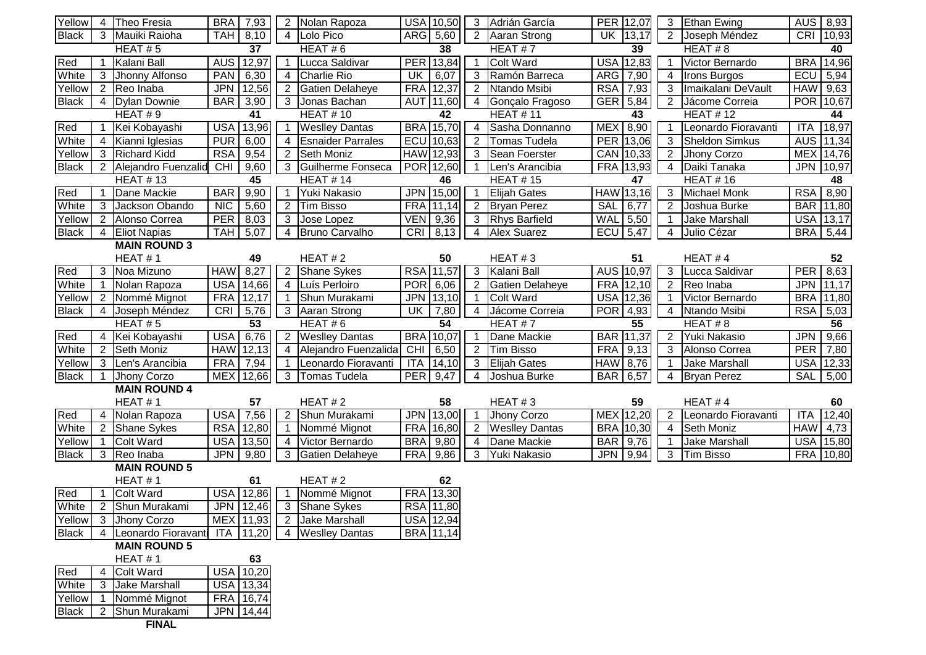| Yellow                 |                | 4 Theo Fresia                   | BRA 7,93   |                        | 2              | Nolan Rapoza             |            | USA 10,50        | 3              | Adrián García          | PER 12,07           | 3              | <b>Ethan Ewing</b>    | AUS   8,93      |       |
|------------------------|----------------|---------------------------------|------------|------------------------|----------------|--------------------------|------------|------------------|----------------|------------------------|---------------------|----------------|-----------------------|-----------------|-------|
| <b>Black</b>           |                | 3 Mauiki Raioha                 | <b>TAH</b> | 8,10                   |                | 4 Lolo Pico              |            | ARG 5,60         | 2              | Aaran Strong           | 13,17<br>UK.        | 2              | Joseph Méndez         | CRI             | 10,93 |
|                        |                | HEAT#5                          |            | 37                     |                | HEAT#6                   |            | 38               |                | HEAT#7                 | 39                  |                | HEAT#8                |                 | 40    |
| Red                    | 1              | Kalani Ball                     | <b>AUS</b> | 12,97                  | 1              | Lucca Saldivar           | <b>PER</b> | 13,84            |                | <b>Colt Ward</b>       | USA 12,83           |                | Victor Bernardo       | <b>BRA</b>      | 14,96 |
| White                  | 3              | Jhonny Alfonso                  | <b>PAN</b> | 6,30                   |                | 4 Charlie Rio            | UK         | 6,07             | 3              | Ramón Barreca          | ARG<br>7,90         | 4              | <b>Irons Burgos</b>   | ECU             | 5,94  |
| Yellow                 |                | 2 Reo Inaba                     | <b>JPN</b> | 12,56                  |                | 2 Gatien Delaheye        |            | FRA 12,37        | $\overline{2}$ | Ntando Msibi           | <b>RSA</b><br>7,93  | 3              | Imaikalani DeVault    | <b>HAW</b>      | 9,63  |
| <b>Black</b>           |                | 4   Dylan Downie                | <b>BAR</b> | 3,90                   |                | 3 Jonas Bachan           |            | AUT 11,60        | $\overline{4}$ | Gonçalo Fragoso        | <b>GER</b><br>5,84  | $\overline{2}$ | Jácome Correia        | POR 10,67       |       |
|                        |                | HEAT#9                          |            | 41                     |                | <b>HEAT #10</b>          |            | 42               |                | <b>HEAT #11</b>        | 43                  |                | <b>HEAT #12</b>       |                 | 44    |
| Red                    | $\mathbf 1$    | Kei Kobayashi                   | <b>USA</b> | 13,96                  |                | <b>Weslley Dantas</b>    |            | <b>BRA</b> 15,70 | 4              | Sasha Donnanno         | <b>MEX</b><br>8,90  |                | Leonardo Fioravanti   | <b>ITA</b>      | 18,97 |
| White                  | 4              | Kianni Iglesias                 | <b>PUR</b> | 6,00                   | $\overline{4}$ | <b>Esnaider Parrales</b> |            | ECU 10,63        |                | <b>Tomas Tudela</b>    | PER 13,06           | 3              | <b>Sheldon Simkus</b> | <b>AUS</b>      | 11,34 |
| Yellow                 |                | 3 Richard Kidd                  | <b>RSA</b> | 9,54                   |                | 2 Seth Moniz             |            | <b>HAW</b> 12,93 | 3              | Sean Foerster          | CAN 10,33           | $\overline{2}$ | Jhony Corzo           | MEX 14,76       |       |
| <b>Black</b>           |                | 2 Alejandro Fuenzalid           | CHI        | 9,60                   |                | 3 Guilherme Fonseca      |            | POR 12,60        |                | Len's Arancibia        | 13,93<br><b>FRA</b> | 4              | Daiki Tanaka          | <b>JPN</b>      | 10,97 |
|                        |                | <b>HEAT #13</b>                 |            | 45                     |                | <b>HEAT #14</b>          |            | 46               |                | <b>HEAT #15</b>        | 47                  |                | <b>HEAT #16</b>       |                 | 48    |
| Red                    |                | Dane Mackie                     | <b>BAR</b> | 9,90                   |                | Yuki Nakasio             |            | JPN 15,00        |                | <b>Elijah Gates</b>    | <b>HAW</b><br>13,16 | 3              | <b>Michael Monk</b>   | <b>RSA</b>      | 8,90  |
| White                  | 3              | Jackson Obando                  | <b>NIC</b> | 5,60                   | $\overline{2}$ | <b>Tim Bisso</b>         | <b>FRA</b> | 11,14            | 2              | <b>Bryan Perez</b>     | 6,77<br><b>SAL</b>  | 2              | Joshua Burke          | <b>BAR</b>      | 11,80 |
| Yellow                 |                | 2 Alonso Correa                 | <b>PER</b> | 8,03                   |                | 3 Jose Lopez             | <b>VEN</b> | 9,36             | 3              | <b>Rhys Barfield</b>   | <b>WAL</b><br>5,50  | -1             | <b>Jake Marshall</b>  | <b>USA</b>      | 13,17 |
| <b>Black</b>           | 4              | <b>Eliot Napias</b>             | <b>TAH</b> | 5,07                   |                | 4 Bruno Carvalho         | CRI        | 8,13             | 4              | <b>Alex Suarez</b>     | <b>ECU</b><br>5,47  | 4              | Julio Cézar           | <b>BRA</b>      | 5,44  |
|                        |                | <b>MAIN ROUND 3</b>             |            |                        |                |                          |            |                  |                |                        |                     |                |                       |                 |       |
|                        |                | HEAT#1                          |            | 49                     |                | HEAT#2                   |            | 50               |                | HEAT#3                 | 51                  |                | HEAT#4                |                 | 52    |
| Red                    |                | 3 Noa Mizuno                    | <b>HAW</b> | 8,27                   |                | 2 Shane Sykes            |            | RSA 11,57        | 3              | Kalani Ball            | AUS 10,97           | 3              | Lucca Saldivar        | <b>PER</b>      | 8,63  |
| White                  |                | 1 Nolan Rapoza                  |            | USA 14,66              | 4              | Luís Perloiro            | <b>POR</b> | 6,06             | 2              | <b>Gatien Delaheye</b> | FRA 12,10           | $\overline{2}$ | Reo Inaba             | <b>JPN</b>      | 11,17 |
| Yellow                 |                | 2 Nommé Mignot                  |            | FRA 12,17              |                | Shun Murakami            |            | JPN 13,10        |                | Colt Ward              | <b>USA 12,36</b>    |                | Victor Bernardo       | <b>BRA</b>      | 11,80 |
| <b>Black</b>           | 4              | Joseph Méndez                   | CRI        | 5,76                   |                | 3 Aaran Strong           | UK         | 7,80             | 4              | Jácome Correia         | POR  <br>4,93       | 4              | Ntando Msibi          | <b>RSA</b> 5,03 |       |
|                        |                | HEAT#5                          |            | $\overline{53}$        |                | HEAT#6                   |            | 54               |                | HEAT#7                 | 55                  |                | HEAT#8                |                 | 56    |
| Red                    |                | 4 Kei Kobayashi                 | USA        | 6,76                   |                | 2 Weslley Dantas         |            | <b>BRA</b> 10,07 |                | Dane Mackie            | <b>BAR 11,37</b>    | $\overline{2}$ | Yuki Nakasio          | <b>JPN</b>      | 9,66  |
| White                  | $\overline{2}$ | Seth Moniz                      |            | HAW 12,13              |                | 4 Alejandro Fuenzalida   | CHI        | 6,50             | $\overline{2}$ | <b>Tim Bisso</b>       | FRA 9,13            | 3              | Alonso Correa         | <b>PER</b>      | 7,80  |
| Yellow                 |                | 3 Len's Arancibia               | <b>FRA</b> | 7,94                   |                | Leonardo Fioravanti      | <b>ITA</b> | 14,10            | 3              | <b>Elijah Gates</b>    | <b>HAW</b> 8,76     |                | <b>Jake Marshall</b>  | <b>USA</b>      | 12,33 |
| <b>Black</b>           |                | Jhony Corzo                     | <b>MEX</b> | 12,66                  | 3              | Tomas Tudela             | PER        | 9,47             | 4              | Joshua Burke           | BAR<br>6,57         | 4              | <b>Bryan Perez</b>    | SAL             | 5,00  |
|                        |                | <b>MAIN ROUND 4</b>             |            |                        |                |                          |            |                  |                |                        |                     |                |                       |                 |       |
|                        |                |                                 |            |                        |                |                          |            |                  |                |                        |                     |                |                       |                 |       |
| Red                    |                | HEAT#1                          |            | 57                     |                | HEAT#2                   |            | 58               |                | HEAT#3                 | 59                  |                | HEAT#4                |                 | 60    |
|                        |                | 4 Nolan Rapoza                  | <b>USA</b> | 7,56                   | $\overline{c}$ | Shun Murakami            |            | JPN 13,00        |                | Jhony Corzo            | MEX 12,20           |                | Leonardo Fioravanti   | <b>ITA</b>      | 12,40 |
| White                  | $\overline{2}$ | <b>Shane Sykes</b>              | <b>RSA</b> | 12,80                  |                | Nommé Mignot             |            | FRA 16,80        |                | <b>Weslley Dantas</b>  | BRA 10,30           | $\overline{4}$ | Seth Moniz            | HAW 4,73        |       |
| Yellow                 | 1              | Colt Ward                       | <b>USA</b> | 13,50                  | 4              | Victor Bernardo          | <b>BRA</b> | 9,80             | $\overline{4}$ | Dane Mackie            | BAR 9,76            |                | Jake Marshall         | <b>USA</b>      | 15,80 |
| <b>Black</b>           | 3              | Reo Inaba                       | <b>JPN</b> | 9,80                   | $\mathbf{3}$   | <b>Gatien Delaheye</b>   | <b>FRA</b> | 9,86             | 3              | Yuki Nakasio           | <b>JPN</b><br>9,94  | 3              | Tim Bisso             | FRA 10,80       |       |
|                        |                | <b>MAIN ROUND 5</b>             |            |                        |                |                          |            |                  |                |                        |                     |                |                       |                 |       |
|                        |                | HEAT#1                          |            | 61                     |                | HEAT#2                   |            | 62               |                |                        |                     |                |                       |                 |       |
| Red                    |                | <b>Colt Ward</b>                |            | USA 12,86              |                | Nommé Mignot             |            | FRA 13,30        |                |                        |                     |                |                       |                 |       |
| White                  |                | 2 Shun Murakami                 |            | JPN 12,46              |                | 3 Shane Sykes            |            | RSA 11,80        |                |                        |                     |                |                       |                 |       |
| Yellow                 |                | 3 Jhony Corzo                   |            | MEX 11,93              | $\overline{2}$ | <b>Jake Marshall</b>     |            | <b>USA 12,94</b> |                |                        |                     |                |                       |                 |       |
| <b>Black</b>           |                | Leonardo Fioravanti ITA         |            | 11,20                  |                | 4 Weslley Dantas         |            | <b>BRA</b> 11,14 |                |                        |                     |                |                       |                 |       |
|                        |                | <b>MAIN ROUND 5</b>             |            |                        |                |                          |            |                  |                |                        |                     |                |                       |                 |       |
|                        |                | HEAT#1                          |            | 63                     |                |                          |            |                  |                |                        |                     |                |                       |                 |       |
| Red                    |                | 4 Colt Ward                     |            | USA 10,20              |                |                          |            |                  |                |                        |                     |                |                       |                 |       |
| White                  |                | 3 Jake Marshall                 |            | USA 13,34              |                |                          |            |                  |                |                        |                     |                |                       |                 |       |
| Yellow<br><b>Black</b> | 1.             | Nommé Mignot<br>2 Shun Murakami |            | FRA 16,74<br>JPN 14,44 |                |                          |            |                  |                |                        |                     |                |                       |                 |       |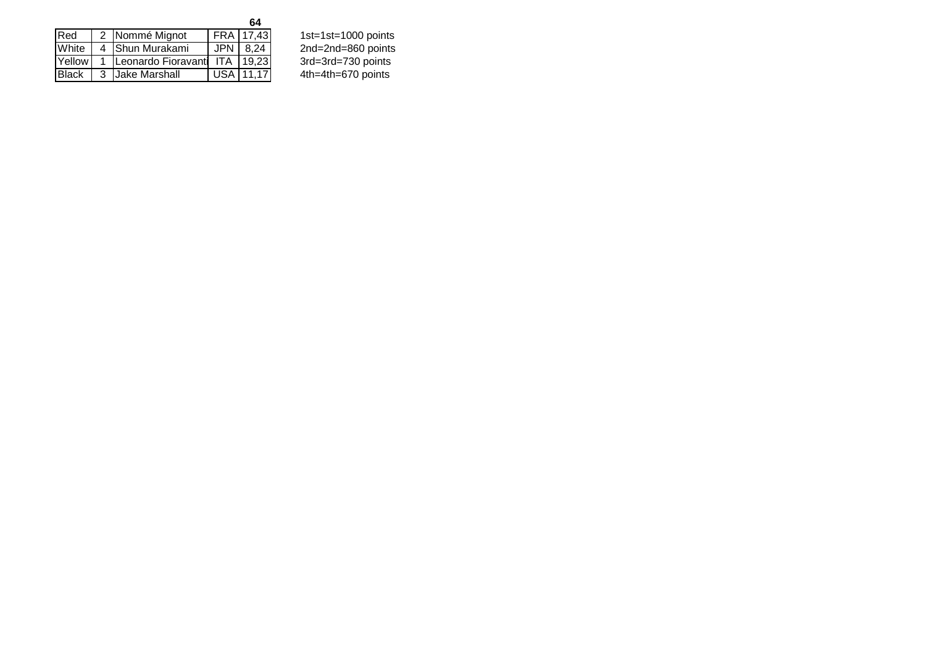| Red          | 2 Nommé Mignot                    | FRA 17,43  | 1st=1st=1000 points |
|--------------|-----------------------------------|------------|---------------------|
| White        | 4 Shun Murakami                   | $JPN$ 8.24 | 2nd=2nd=860 points  |
| Yellow       | 1 Leonardo Fioravanti ITA   19,23 |            | 3rd=3rd=730 points  |
| <b>Black</b> | 3 Jake Marshall                   | USA 11,17  | 4th=4th=670 points  |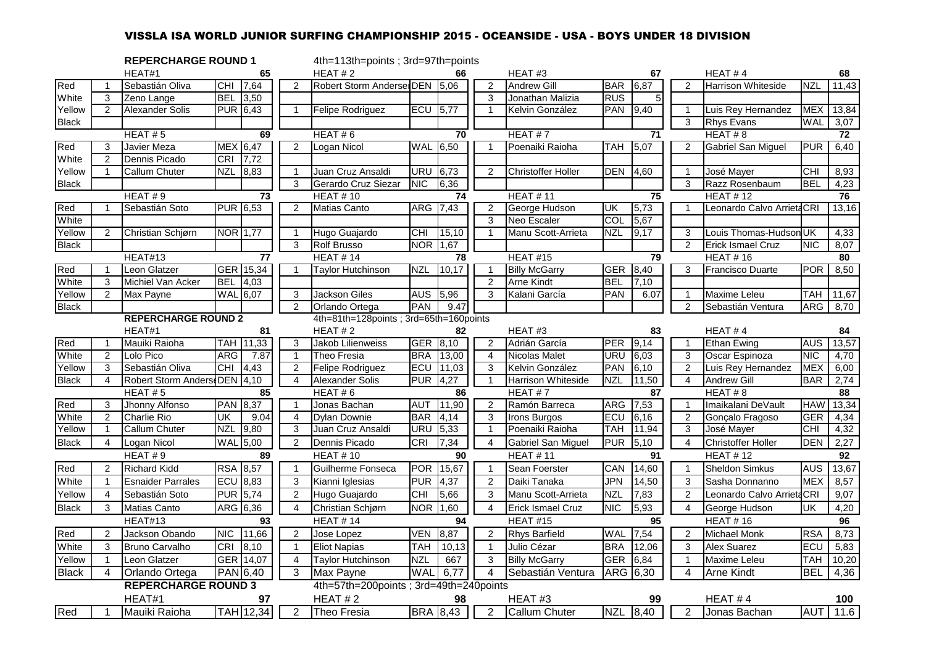# VISSLA ISA WORLD JUNIOR SURFING CHAMPIONSHIP 2015 - OCEANSIDE - USA - BOYS UNDER 18 DIVISION

|              |                | <b>REPERCHARGE ROUND 1</b>   |            |                 |                | 4th=113th=points; 3rd=97th=points      |            |                 |                |                           |            |          |                |                            |            |                 |
|--------------|----------------|------------------------------|------------|-----------------|----------------|----------------------------------------|------------|-----------------|----------------|---------------------------|------------|----------|----------------|----------------------------|------------|-----------------|
|              |                | HEAT#1                       |            | 65              |                | HEAT#2                                 |            | 66              |                | HEAT#3                    |            | 67       |                | HEAT#4                     |            | 68              |
| Red          |                | Sebastián Oliva              |            | CHI 7,64        | 2              | Robert Storm Anderse DEN 5,06          |            |                 | $\overline{2}$ | <b>Andrew Gill</b>        | BAR        | 6,87     | 2              | <b>Harrison Whiteside</b>  | <b>NZL</b> | 11,43           |
| White        | 3              | Zeno Lange                   | <b>BEL</b> | 3,50            |                |                                        |            |                 | 3              | Jonathan Malizia          | RUS        |          |                |                            |            |                 |
| Yellow       | $\overline{2}$ | <b>Alexander Solis</b>       |            | <b>PUR 6,43</b> | $\overline{1}$ | Felipe Rodriguez                       | ECU        | 5,77            | $\overline{1}$ | Kelvin González           | <b>PAN</b> | 9,40     | $\mathbf 1$    | Luis Rey Hernandez         | <b>MEX</b> | 13,84           |
| <b>Black</b> |                |                              |            |                 |                |                                        |            |                 |                |                           |            |          | 3              | <b>Rhys Evans</b>          | <b>WAL</b> | 3,07            |
|              |                | HEAT#5                       |            | 69              |                | HEAT#6                                 |            | 70              |                | HEAT#7                    |            | 71       |                | HEAT#8                     |            | 72              |
| Red          | 3              | Javier Meza                  |            | MEX 6,47        | 2              | Logan Nicol                            | <b>WAL</b> | 6,50            | $\overline{1}$ | Poenaiki Raioha           | <b>TAH</b> | 5,07     | 2              | Gabriel San Miguel         | <b>PUR</b> | 6,40            |
| White        | $\overline{2}$ | Dennis Picado                | CRI        | 7,72            |                |                                        |            |                 |                |                           |            |          |                |                            |            |                 |
| Yellow       | 1              | <b>Callum Chuter</b>         | NZL        | 8,83            | $\overline{1}$ | Juan Cruz Ansaldi                      | <b>URU</b> | 6,73            | 2              | <b>Christoffer Holler</b> | <b>DEN</b> | 4,60     | $\mathbf{1}$   | José Mayer                 | <b>CHI</b> | 8,93            |
| <b>Black</b> |                |                              |            |                 | 3              | Gerardo Cruz Siezar                    | <b>NIC</b> | 6,36            |                |                           |            |          | 3              | Razz Rosenbaum             | <b>BEL</b> | 4,23            |
|              |                | HEAT#9                       |            | $\overline{73}$ |                | <b>HEAT #10</b>                        |            | 74              |                | <b>HEAT #11</b>           |            | 75       |                | <b>HEAT #12</b>            |            | 76              |
| Red          | $\mathbf{1}$   | Sebastián Soto               |            | <b>PUR 6,53</b> | 2              | <b>Matias Canto</b>                    | ARG        | 7,43            | 2              | George Hudson             | UK         | 5,73     | $\mathbf{1}$   | Leonardo Calvo Arrieta CRI |            | 13,16           |
| White        |                |                              |            |                 |                |                                        |            |                 | 3              | Neo Escaler               | COL        | 5,67     |                |                            |            |                 |
| Yellow       | $\overline{2}$ | Christian Schjørn            |            | <b>NOR 1,77</b> | $\mathbf{1}$   | Hugo Guajardo                          | <b>CHI</b> | 15,10           | $\overline{1}$ | Manu Scott-Arrieta        | NZL        | 9,17     | 3              | Louis Thomas-Hudson UK     |            | 4,33            |
| <b>Black</b> |                |                              |            |                 | 3              | <b>Rolf Brusso</b>                     | <b>NOR</b> | 1,67            |                |                           |            |          | $\overline{2}$ | Erick Ismael Cruz          | <b>NIC</b> | 8,07            |
|              |                | HEAT#13                      |            | 77              |                | <b>HEAT #14</b>                        |            | 78              |                | <b>HEAT #15</b>           |            | 79       |                | <b>HEAT #16</b>            |            | 80              |
| Red          | 1              | Leon Glatzer                 |            | GER 15,34       | $\overline{1}$ | <b>Taylor Hutchinson</b>               | <b>NZL</b> | 10,17           | $\overline{1}$ | <b>Billy McGarry</b>      | <b>GER</b> | 8,40     | 3              | <b>Francisco Duarte</b>    | <b>POR</b> | 8,50            |
| White        | 3              | Michiel Van Acker            | BEL        | 4,03            |                |                                        |            |                 | 2              | Arne Kindt                | BEL        | 7,10     |                |                            |            |                 |
| Yellow       | $\overline{2}$ | Max Payne                    |            | <b>WAL</b> 6,07 | 3              | <b>Jackson Giles</b>                   | <b>AUS</b> | 5,96            | 3              | Kalani García             | PAN        | 6.07     | -1             | <b>Maxime Leleu</b>        | TAH        | 11,67           |
| <b>Black</b> |                |                              |            |                 | 2              | Orlando Ortega                         | <b>PAN</b> | 9.47            |                |                           |            |          | $\overline{2}$ | Sebastián Ventura          | <b>ARG</b> | 8,70            |
|              |                | <b>REPERCHARGE ROUND 2</b>   |            |                 |                | 4th=81th=128points; 3rd=65th=160points |            |                 |                |                           |            |          |                |                            |            |                 |
|              |                | HEAT#1                       |            | 81              |                | HEAT#2                                 |            | 82              |                | HEAT#3                    |            | 83       |                | HEAT#4                     |            | 84              |
| Red          |                | Mauiki Raioha                | <b>TAH</b> | 11,33           | 3              | Jakob Lilienweiss                      | <b>GER</b> | 8,10            | 2              | Adrián García             | PER        | 9,14     |                | <b>Ethan Ewing</b>         | <b>AUS</b> | 13,57           |
| White        | $\overline{2}$ | Lolo Pico                    | ARG        | 7.87            | $\overline{1}$ | Theo Fresia                            | <b>BRA</b> | 13,00           | $\overline{4}$ | <b>Nicolas Malet</b>      | URU        | 6,03     | 3              | Oscar Espinoza             | <b>NIC</b> | 4,70            |
| Yellow       | 3              | Sebastián Oliva              | CHI        | 4,43            | $\overline{2}$ | Felipe Rodriguez                       | ECU        | 11,03           | 3              | Kelvin González           | PAN        | 6,10     | $\overline{2}$ | Luis Rey Hernandez         | <b>MEX</b> | 6,00            |
| <b>Black</b> | 4              | Robert Storm Anders DEN 4,10 |            |                 | $\overline{4}$ | <b>Alexander Solis</b>                 | <b>PUR</b> | 4,27            | $\overline{1}$ | Harrison Whiteside        | <b>NZL</b> | 11,50    | $\overline{4}$ | <b>Andrew Gill</b>         | <b>BAR</b> | 2,74            |
|              |                | HEAT#5                       |            | 85              |                | HEAT#6                                 |            | 86              |                | HEAT#7                    |            | 87       |                | HEAT # 8                   |            | 88              |
| Red          | 3              | Jhonny Alfonso               |            | <b>PAN 8,37</b> | $\overline{1}$ | Jonas Bachan                           | <b>AUT</b> | 11,90           | $\overline{2}$ | Ramón Barreca             | <b>ARG</b> | 7,53     | $\overline{1}$ | Imaikalani DeVault         | <b>HAW</b> | 13,34           |
| White        | $\overline{2}$ | <b>Charlie Rio</b>           | UK         | 9.04            | $\overline{4}$ | <b>Dylan Downie</b>                    | <b>BAR</b> | 4,14            | 3              | Irons Burgos              | ECU        | 6,16     | 2              | Gonçalo Fragoso            | <b>GER</b> | 4,34            |
| Yellow       | $\mathbf{1}$   | <b>Callum Chuter</b>         | NZL        | 9,80            | 3              | Juan Cruz Ansaldi                      | <b>URU</b> | 5,33            | $\overline{1}$ | Poenaiki Raioha           | TAH        | 11,94    | 3              | José Mayer                 | CHI        | 4,32            |
| <b>Black</b> | $\overline{4}$ | Logan Nicol                  |            | <b>WAL</b> 5,00 | $\overline{2}$ | Dennis Picado                          | CRI        | 7,34            | $\overline{4}$ | Gabriel San Miguel        | <b>PUR</b> | 5,10     | $\overline{4}$ | <b>Christoffer Holler</b>  | <b>DEN</b> | 2,27            |
|              |                | HEAT#9                       |            | 89              |                | <b>HEAT #10</b>                        |            | 90              |                | <b>HEAT #11</b>           |            | 91       |                | <b>HEAT #12</b>            |            | 92              |
| Red          | $\overline{2}$ | <b>Richard Kidd</b>          |            | RSA 8,57        | $\overline{1}$ | Guilherme Fonseca                      | <b>POR</b> | 15,67           | $\overline{1}$ | Sean Foerster             | CAN        | 14,60    | $\overline{1}$ | Sheldon Simkus             | <b>AUS</b> | 13,67           |
| White        | $\mathbf{1}$   | <b>Esnaider Parrales</b>     |            | ECU 8,83        | 3              | Kianni Iglesias                        | <b>PUR</b> | 4,37            | $\overline{2}$ | Daiki Tanaka              | JPN        | 14,50    | 3              | Sasha Donnanno             | <b>MEX</b> | 8,57            |
| Yellow       | $\overline{4}$ | Sebastián Soto               |            | <b>PUR 5,74</b> | $\overline{2}$ | Hugo Guajardo                          | <b>CHI</b> | 5,66            | 3              | Manu Scott-Arrieta        | <b>NZL</b> | 7,83     | 2              | Leonardo Calvo Arrieta CRI |            | 9,07            |
| <b>Black</b> | 3              | Matias Canto                 |            | ARG 6,36        | 4              | Christian Schjørn                      | <b>NOR</b> | 1,60            | $\overline{4}$ | Erick Ismael Cruz         | <b>NIC</b> | 5,93     | 4              | George Hudson              | UK         | 4,20            |
|              |                | HEAT#13                      |            | 93              |                | <b>HEAT #14</b>                        |            | 94              |                | HEAT#15                   |            | 95       |                | <b>HEAT #16</b>            |            | 96              |
| Red          | $\overline{2}$ | Jackson Obando               |            | NIC 11,66       | 2              | Jose Lopez                             | <b>VEN</b> | 8,87            | 2              | <b>Rhys Barfield</b>      | <b>WAL</b> | 7,54     | 2              | Michael Monk               | <b>RSA</b> | 8,73            |
| White        | 3              | Bruno Carvalho               | CRI        | 8,10            | $\overline{1}$ | <b>Eliot Napias</b>                    | <b>TAH</b> | 10, 13          | $\overline{1}$ | Julio Cézar               | <b>BRA</b> | 12,06    | 3              | Alex Suarez                | ECU        | 5,83            |
| Yellow       | 1              | Leon Glatzer                 |            | GER 14,07       | $\overline{4}$ | Taylor Hutchinson                      | <b>NZL</b> | 667             | 3              | <b>Billy McGarry</b>      | <b>GER</b> | 6,84     | $\overline{1}$ | Maxime Leleu               | <b>TAH</b> | 10,20           |
| <b>Black</b> | 4              | Orlando Ortega               |            | PAN 6,40        | 3              | Max Payne                              | <b>WAL</b> | 6,77            | 4              | Sebastián Ventura         | ARG 6,30   |          | 4              | <b>Arne Kindt</b>          | <b>BEL</b> | 4,36            |
|              |                | <b>REPERCHARGE ROUND 3</b>   |            |                 |                | 4th=57th=200points; 3rd=49th=240points |            |                 |                |                           |            |          |                |                            |            |                 |
|              |                | HEAT#1                       |            | 97              |                | HEAT#2                                 |            | 98              |                | HEAT#3                    |            | 99       |                | HEAT #4                    |            | 100             |
| Red          | 1              | Mauiki Raioha                |            | TAH 12,34       | $\overline{2}$ | Theo Fresia                            |            | <b>BRA</b> 8,43 | $\overline{2}$ | <b>Callum Chuter</b>      |            | NZL 8,40 | 2              | Jonas Bachan               |            | <b>AUT</b> 11.6 |
|              |                |                              |            |                 |                |                                        |            |                 |                |                           |            |          |                |                            |            |                 |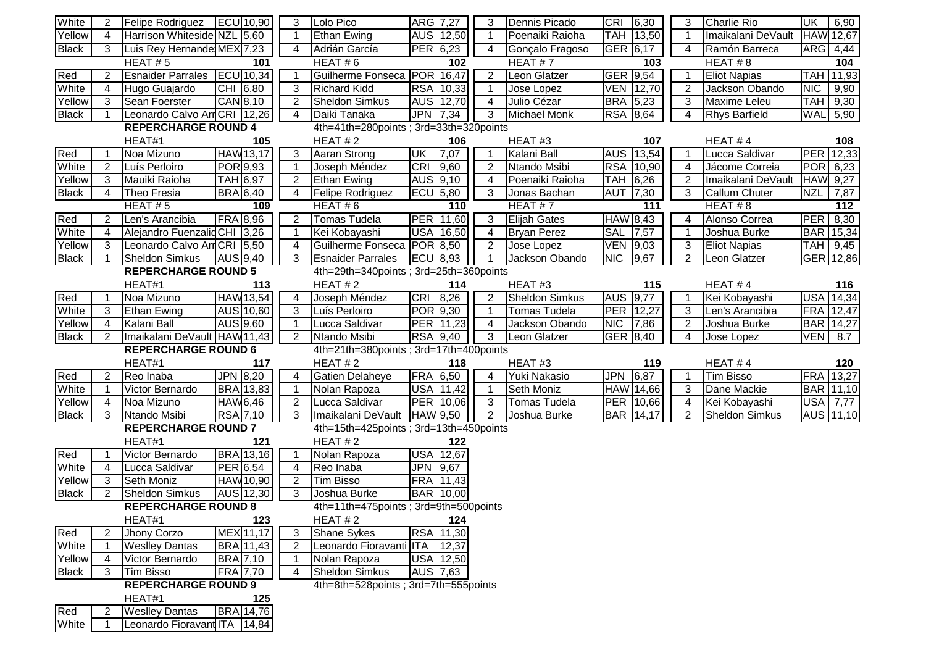| White        | 2              | Felipe Rodriguez                                      | ECU 10,90        | 3              | Lolo Pico                              | ARG 7,27        |                  | 3              | Dennis Picado         | CRI 6,30              | 3                       | Charlie Rio           | <b>UK</b>        | 6,90  |
|--------------|----------------|-------------------------------------------------------|------------------|----------------|----------------------------------------|-----------------|------------------|----------------|-----------------------|-----------------------|-------------------------|-----------------------|------------------|-------|
| Yellow       | 4              | Harrison Whiteside NZL 5,60                           |                  | $\mathbf{1}$   | <b>Ethan Ewing</b>                     |                 | AUS 12,50        | $\mathbf{1}$   | Poenaiki Raioha       | TAH 13,50             | $\overline{\mathbf{1}}$ | Imaikalani DeVault    | HAW 12,67        |       |
| <b>Black</b> | 3              | Luis Rey Hernande MEX 7,23                            |                  | 4              | Adrián García                          | PER 6,23        |                  | 4              | Gonçalo Fragoso       | GER 6,17              | $\overline{4}$          | Ramón Barreca         | ARG 4,44         |       |
|              |                | HEAT# $5$                                             | 101              |                | HEAT#6                                 |                 | 102              |                | HEAT# $7$             | 103                   |                         | HEAT $# 8$            |                  | 104   |
| Red          | $\overline{2}$ | <b>Esnaider Parrales</b>                              | <b>ECU</b> 10,34 | $\overline{1}$ | Guilherme Fonseca POR 16,47            |                 |                  | $\overline{2}$ | Leon Glatzer          | GER 9,54              | $\overline{\mathbf{1}}$ | <b>Eliot Napias</b>   | TAH 11,93        |       |
| White        | 4              | Hugo Guajardo                                         | CHI 6,80         | 3              | <b>Richard Kidd</b>                    |                 | RSA 10,33        | $\mathbf{1}$   | Jose Lopez            | <b>VEN</b> 12,70      | $\overline{2}$          | Jackson Obando        | <b>NIC</b>       | 9,90  |
| Yellow       | ما             | Sean Foerster                                         | CAN 8,10         | $\overline{2}$ | <b>Sheldon Simkus</b>                  |                 | AUS 12,70        | $\overline{4}$ | Julio Cézar           | <b>BRA 5,23</b>       | 3                       | Maxime Leleu          | <b>TAH</b>       | 9,30  |
| <b>Black</b> |                | Leonardo Calvo ArrCRI 12,26                           |                  | $\overline{4}$ | Daiki Tanaka                           | <b>JPN</b>      | 7,34             | 3              | <b>Michael Monk</b>   | <b>RSA</b> 8,64       | $\overline{4}$          | Rhys Barfield         | WAL              | 5,90  |
|              |                | <b>REPERCHARGE ROUND 4</b>                            |                  |                | 4th=41th=280points; 3rd=33th=320points |                 |                  |                |                       |                       |                         |                       |                  |       |
|              |                | HEAT#1                                                | 105              |                | HEAT $#2$                              |                 | 106              |                | HEAT#3                | 107                   |                         | HEAT#4                |                  | 108   |
| Red          |                | Noa Mizuno                                            | HAW 13,17        | 3              | Aaran Strong                           | UK              | 7,07             | -1             | Kalani Ball           | AUS 13,54             | -1                      | Lucca Saldivar        | PER              | 12,33 |
| White        | $\overline{2}$ | Luís Perloiro                                         | <b>POR</b> 9,93  | $\overline{1}$ | Joseph Méndez                          | CRI             | 9,60             | $\overline{2}$ | Ntando Msibi          | RSA 10,90             | 4                       | Jácome Correia        | <b>POR</b> 6,23  |       |
| Yellow       | 3              | Mauiki Raioha                                         | <b>TAH 6,97</b>  | $\overline{2}$ | <b>Ethan Ewing</b>                     | AUS 9,10        |                  | $\overline{4}$ | Poenaiki Raioha       | <b>TAH</b><br>6,26    | 2                       | Imaikalani DeVault    | HAW 9,27         |       |
| <b>Black</b> | 4              | Theo Fresia                                           | <b>BRA</b> 6,40  | $\overline{4}$ | Felipe Rodriguez                       | ECU 5,80        |                  | 3              | Jonas Bachan          | AUT<br>7,30           | 3                       | Callum Chuter         | <b>NZL</b>       | 7,87  |
|              |                | HEAT#5                                                | 109              |                | HEAT $# 6$                             |                 | 110              |                | HEAT#7                | 111                   |                         | HEAT#8                |                  | 112   |
| Red          | $\overline{2}$ | Len's Arancibia                                       | <b>FRA 8,96</b>  | $\overline{2}$ | Tomas Tudela                           |                 | <b>PER 11,60</b> | 3              | <b>Elijah Gates</b>   | HAW 8,43              | $\overline{4}$          | Alonso Correa         | PER              | 8,30  |
| White        | 4              | Alejandro Fuenzalid CHI 3,26                          |                  | $\overline{1}$ | Kei Kobayashi                          |                 | USA 16,50        | 4              | <b>Bryan Perez</b>    | <b>SAL</b><br>7,57    | $\overline{\mathbf{1}}$ | Joshua Burke          | <b>BAR</b>       | 15,34 |
| Yellow       | 3              | Leonardo Calvo ArrCRI 5,50                            |                  | $\overline{4}$ | Guilherme Fonseca POR 8,50             |                 |                  | $\overline{2}$ | Jose Lopez            | VEN 9,03              | 3                       | <b>Eliot Napias</b>   | <b>TAH</b>       | 9,45  |
| <b>Black</b> | 1              | <b>Sheldon Simkus</b>                                 | AUS 9,40         | 3              | <b>Esnaider Parrales</b>               | <b>ECU</b> 8,93 |                  | $\overline{1}$ | Jackson Obando        | <b>NIC</b><br>9,67    | $\overline{2}$          | Leon Glatzer          | GER 12,86        |       |
|              |                | <b>REPERCHARGE ROUND 5</b>                            |                  |                | 4th=29th=340points; 3rd=25th=360points |                 |                  |                |                       |                       |                         |                       |                  |       |
|              |                | HEAT#1                                                | 113              |                | HEAT $#2$                              |                 | 114              |                | HEAT#3                | 115                   |                         | HEAT#4                |                  | 116   |
| Red          |                | Noa Mizuno                                            | <b>HAW13,54</b>  | $\overline{4}$ | Joseph Méndez                          | <b>CRI</b>      | 8,26             | $\overline{2}$ | <b>Sheldon Simkus</b> | AUS 9,77              | -1                      | Kei Kobayashi         | <b>USA</b> 14,34 |       |
| White        | 3              | <b>Ethan Ewing</b>                                    | AUS 10,60        | 3              | Luís Perloiro                          | POR 9,30        |                  | $\overline{1}$ | <b>Tomas Tudela</b>   | PER<br>12,27          | 3                       | Len's Arancibia       | <b>FRA</b>       | 12,47 |
| Yellow       | 4              | Kalani Ball                                           | AUS 9,60         | -1             | Lucca Saldivar                         |                 | PER 11,23        | 4              | Jackson Obando        | <b>NIC</b><br>7,86    | 2                       | Joshua Burke          | BAR 14,27        |       |
| <b>Black</b> | 2              | Imaikalani DeVault HAW 11,43                          |                  | 2              | Ntando Msibi                           | <b>RSA 9,40</b> |                  | 3              | Leon Glatzer          | GER $\overline{8,}40$ | 4                       | Jose Lopez            | <b>VEN</b>       | 8.7   |
|              |                | <b>REPERCHARGE ROUND 6</b>                            |                  |                | 4th=21th=380points; 3rd=17th=400points |                 |                  |                |                       |                       |                         |                       |                  |       |
|              |                | HEAT#1                                                | 117              |                | HEAT $#2$                              |                 | 118              |                | HEAT#3                | 119                   |                         | HEAT#4                |                  | 120   |
| Red          | $\overline{2}$ | Reo Inaba                                             | JPN 8,20         | 4              | Gatien Delaheye                        | <b>FRA 6,50</b> |                  | 4              | Yuki Nakasio          | 6,87<br><b>JPN</b>    | -1                      | <b>Tim Bisso</b>      | <b>FRA</b>       | 13,27 |
| White        | 1              | Victor Bernardo                                       | <b>BRA</b> 13,83 | $\overline{1}$ | Nolan Rapoza                           |                 | <b>USA</b> 11,42 | $\overline{1}$ | <b>Seth Moniz</b>     | HAW 14,66             | 3                       | Dane Mackie           | BAR 11,10        |       |
| Yellow       | 4              | Noa Mizuno                                            | <b>HAW6,46</b>   | $\overline{2}$ | Lucca Saldivar                         |                 | <b>PER 10,06</b> | 3              | <b>Tomas Tudela</b>   | PER<br>10,66          | 4                       | Kei Kobayashi         | <b>USA</b>       | 7,77  |
| <b>Black</b> | 3              | Ntando Msibi                                          | RSA 7,10         | 3              | Imaikalani DeVault HAW 9,50            |                 |                  | $\overline{2}$ | Joshua Burke          | <b>BAR</b> 14,17      | $\overline{2}$          | <b>Sheldon Simkus</b> | AUS 11,10        |       |
|              |                | <b>REPERCHARGE ROUND 7</b>                            |                  |                | 4th=15th=425points; 3rd=13th=450points |                 |                  |                |                       |                       |                         |                       |                  |       |
|              |                | HEAT#1                                                | 121              |                | HEAT#2                                 |                 | 122              |                |                       |                       |                         |                       |                  |       |
| Red          |                | Victor Bernardo                                       | <b>BRA</b> 13,16 | $\overline{1}$ | Nolan Rapoza                           |                 | USA 12,67        |                |                       |                       |                         |                       |                  |       |
| White        | 4              | Lucca Saldivar                                        | PER 6,54         | $\overline{4}$ | Reo Inaba                              | JPN 9,67        |                  |                |                       |                       |                         |                       |                  |       |
| Yellow       | 3              | Seth Moniz                                            | <b>HAW 10,90</b> | $\overline{2}$ | <b>Tim Bisso</b>                       | <b>FRA</b>      | 11,43            |                |                       |                       |                         |                       |                  |       |
| <b>Black</b> |                |                                                       |                  |                |                                        |                 |                  |                |                       |                       |                         |                       |                  |       |
|              | 2              | <b>Sheldon Simkus</b>                                 | AUS 12,30        | 3              | Joshua Burke                           | BAR 10,00       |                  |                |                       |                       |                         |                       |                  |       |
|              |                | <b>REPERCHARGE ROUND 8</b>                            |                  |                | 4th=11th=475points; 3rd=9th=500points  |                 |                  |                |                       |                       |                         |                       |                  |       |
|              |                | HEAT#1                                                | 123              |                | HEAT $#2$                              |                 | 124              |                |                       |                       |                         |                       |                  |       |
| Red          | 2              | Jhony Corzo                                           | MEX 11,17        | 3              | <b>Shane Sykes</b>                     |                 | RSA 11,30        |                |                       |                       |                         |                       |                  |       |
| White        |                | <b>Weslley Dantas</b>                                 | BRA 11,43        | $\overline{2}$ | Leonardo Fioravanti ITA                |                 | 12,37            |                |                       |                       |                         |                       |                  |       |
| Yellow       | 4              | Victor Bernardo                                       | <b>BRA</b> 7,10  | -1             | Nolan Rapoza                           |                 | USA 12,50        |                |                       |                       |                         |                       |                  |       |
| <b>Black</b> | 3              | <b>Tim Bisso</b>                                      | <b>FRA 7,70</b>  | 4              | <b>Sheldon Simkus</b>                  | AUS 7,63        |                  |                |                       |                       |                         |                       |                  |       |
|              |                | <b>REPERCHARGE ROUND 9</b>                            |                  |                | 4th=8th=528points; 3rd=7th=555points   |                 |                  |                |                       |                       |                         |                       |                  |       |
|              |                | HEAT#1                                                | 125              |                |                                        |                 |                  |                |                       |                       |                         |                       |                  |       |
| Red<br>White |                | <b>Weslley Dantas</b><br>Leonardo Fioravant ITA 14,84 | <b>BRA</b> 14,76 |                |                                        |                 |                  |                |                       |                       |                         |                       |                  |       |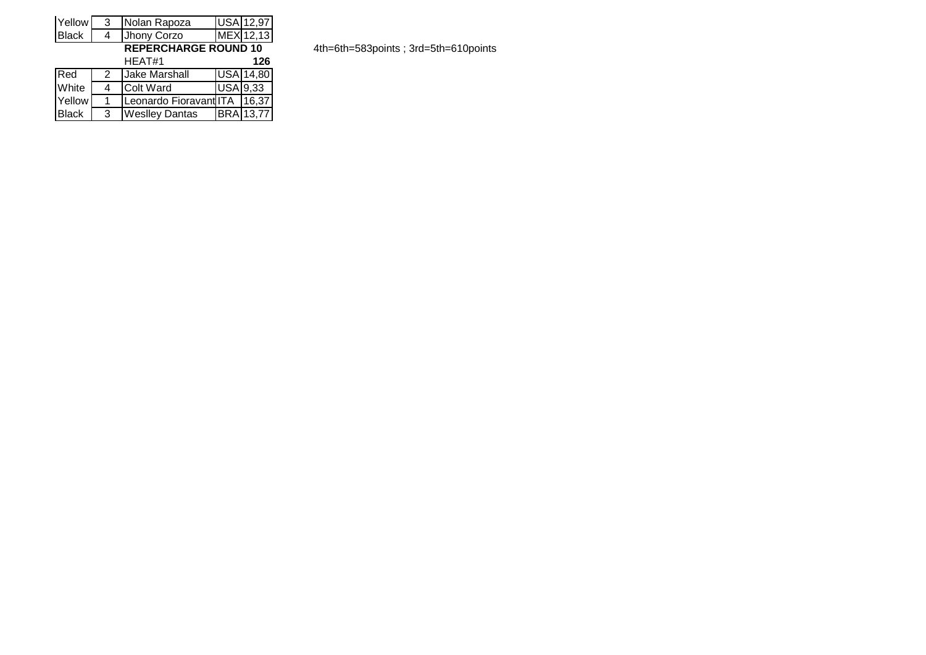| Yellow       | 3 | Nolan Rapoza                 |                             | USA 12,97        |  |  |  |  |  |  |  |
|--------------|---|------------------------------|-----------------------------|------------------|--|--|--|--|--|--|--|
| <b>Black</b> | 4 | Jhony Corzo                  |                             | MEX 12,13        |  |  |  |  |  |  |  |
|              |   |                              | <b>REPERCHARGE ROUND 10</b> |                  |  |  |  |  |  |  |  |
|              |   | HEAT#1                       |                             | 126              |  |  |  |  |  |  |  |
| Red          | 2 | <b>Jake Marshall</b>         |                             | <b>USA 14,80</b> |  |  |  |  |  |  |  |
| White        | 4 | <b>Colt Ward</b>             | <b>USA 9,33</b>             |                  |  |  |  |  |  |  |  |
| Yellow       | 1 | Leonardo Fioravant ITA 16,37 |                             |                  |  |  |  |  |  |  |  |
| <b>Black</b> | 3 | <b>Weslley Dantas</b>        |                             | <b>BRA</b> 13,77 |  |  |  |  |  |  |  |

**REPERCHARGE ROUND 10** 4th=6th=583points ; 3rd=5th=610points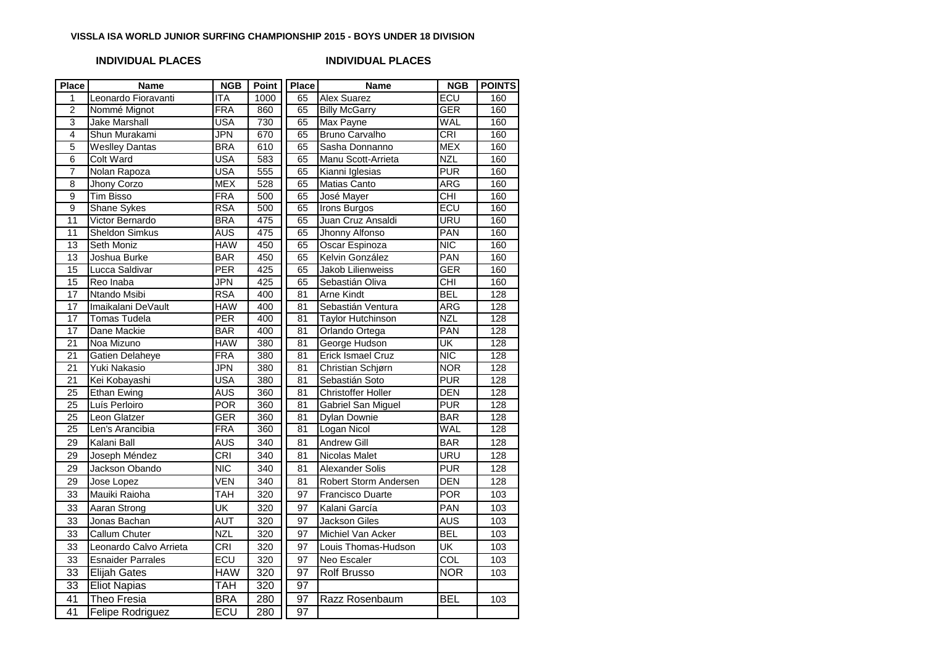### **VISSLA ISA WORLD JUNIOR SURFING CHAMPIONSHIP 2015 - BOYS UNDER 18 DIVISION**

## **INDIVIDUAL PLACES INDIVIDUAL PLACES**

| Place                   | <b>Name</b>              | <b>NGB</b>                | <b>Point</b> | <b>Place</b>    | <b>Name</b>               | <b>NGB</b>       | <b>POINTS</b> |
|-------------------------|--------------------------|---------------------------|--------------|-----------------|---------------------------|------------------|---------------|
| 1                       | Leonardo Fioravanti      | $\overline{\mathsf{ITA}}$ | 1000         | 65              | <b>Alex Suarez</b>        | ECU              | 160           |
| $\overline{2}$          | Nommé Mignot             | <b>FRA</b>                | 860          | 65              | <b>Billy McGarry</b>      | <b>GER</b>       | 160           |
| $\overline{3}$          | <b>Jake Marshall</b>     | USA                       | 730          | 65              | Max Payne                 | <b>WAL</b>       | 160           |
| $\overline{\mathbf{4}}$ | Shun Murakami            | JPN                       | 670          | 65              | <b>Bruno Carvalho</b>     | <b>CRI</b>       | 160           |
| $\overline{5}$          | <b>Weslley Dantas</b>    | <b>BRA</b>                | 610          | 65              | Sasha Donnanno            | <b>MEX</b>       | 160           |
| $\overline{6}$          | <b>Colt Ward</b>         | USA                       | 583          | 65              | Manu Scott-Arrieta        | <b>NZL</b>       | 160           |
| $\overline{7}$          | Nolan Rapoza             | USA                       | 555          | 65              | Kianni Iglesias           | <b>PUR</b>       | 160           |
| $\overline{8}$          | Jhony Corzo              | <b>MEX</b>                | 528          | 65              | <b>Matias Canto</b>       | ARG              | 160           |
| $\overline{9}$          | Tim Bisso                | FRA                       | 500          | 65              | José Mayer                | CHI              | 160           |
| $\overline{9}$          | Shane Sykes              | <b>RSA</b>                | 500          | 65              | Irons Burgos              | ECU              | 160           |
| 11                      | Victor Bernardo          | <b>BRA</b>                | 475          | 65              | Juan Cruz Ansaldi         | URU              | 160           |
| $\overline{11}$         | <b>Sheldon Simkus</b>    | AUS                       | 475          | 65              | Jhonny Alfonso            | PAN              | 160           |
| 13                      | Seth Moniz               | <b>HAW</b>                | 450          | 65              | Oscar Espinoza            | <b>NIC</b>       | 160           |
| 13                      | Joshua Burke             | <b>BAR</b>                | 450          | 65              | Kelvin González           | PAN              | 160           |
| $\overline{15}$         | Lucca Saldivar           | PER                       | 425          | 65              | Jakob Lilienweiss         | <b>GER</b>       | 160           |
| $\overline{15}$         | Reo Inaba                | JPN                       | 425          | 65              | Sebastián Oliva           | CHI              | 160           |
| 17                      | Ntando Msibi             | <b>RSA</b>                | 400          | 81              | <b>Arne Kindt</b>         | <b>BEL</b>       | 128           |
| $\overline{17}$         | Imaikalani DeVault       | HAW                       | 400          | 81              | Sebastián Ventura         | <b>ARG</b>       | 128           |
| $\overline{17}$         | Tomas Tudela             | PER                       | 400          | 81              | <b>Taylor Hutchinson</b>  | <b>NZL</b>       | 128           |
| 17                      | Dane Mackie              | <b>BAR</b>                | 400          | 81              | Orlando Ortega            | PAN              | 128           |
| $\overline{21}$         | Noa Mizuno               | <b>HAW</b>                | 380          | 81              | George Hudson             | UK               | 128           |
| 21                      | <b>Gatien Delaheye</b>   | <b>FRA</b>                | 380          | 81              | <b>Erick Ismael Cruz</b>  | <b>NIC</b>       | 128           |
| 21                      | Yuki Nakasio             | JPN                       | 380          | 81              | Christian Schjørn         | <b>NOR</b>       | 128           |
| $\overline{21}$         | Kei Kobayashi            | USA                       | 380          | 81              | Sebastián Soto            | <b>PUR</b>       | 128           |
| 25                      | <b>Ethan Ewing</b>       | AUS                       | 360          | 81              | <b>Christoffer Holler</b> | DEN              | 128           |
| 25                      | Luís Perloiro            | $\overline{POR}$          | 360          | 81              | Gabriel San Miguel        | <b>PUR</b>       | 128           |
| $\overline{25}$         | Leon Glatzer             | GER                       | 360          | 81              | <b>Dylan Downie</b>       | <b>BAR</b>       | 128           |
| $\overline{25}$         | Len's Arancibia          | <b>FRA</b>                | 360          | 81              | Logan Nicol               | WAL              | 128           |
| 29                      | Kalani Ball              | AUS                       | 340          | 81              | <b>Andrew Gill</b>        | <b>BAR</b>       | 128           |
| 29                      | Joseph Méndez            | <b>CRI</b>                | 340          | 81              | Nicolas Malet             | <b>URU</b>       | 128           |
| 29                      | Jackson Obando           | <b>NIC</b>                | 340          | 81              | Alexander Solis           | <b>PUR</b>       | 128           |
| 29                      | Jose Lopez               | VEN                       | 340          | 81              | Robert Storm Andersen     | <b>DEN</b>       | 128           |
| 33                      | Mauiki Raioha            | <b>TAH</b>                | 320          | 97              | Francisco Duarte          | <b>POR</b>       | 103           |
| 33                      | Aaran Strong             | UK                        | 320          | 97              | Kalani García             | PAN              | 103           |
| 33                      | Jonas Bachan             | AUT                       | 320          | 97              | <b>Jackson Giles</b>      | <b>AUS</b>       | 103           |
| 33                      | Callum Chuter            | <b>NZL</b>                | 320          | 97              | Michiel Van Acker         | <b>BEL</b>       | 103           |
| 33                      | Leonardo Calvo Arrieta   | CRI                       | 320          | 97              | Louis Thomas-Hudson       | <b>UK</b>        | 103           |
| 33                      | <b>Esnaider Parrales</b> | $\overline{\mathsf{ECU}}$ | 320          | 97              | Neo Escaler               | $\overline{COL}$ | 103           |
| 33                      | <b>Elijah Gates</b>      | HAW                       | 320          | 97              | <b>Rolf Brusso</b>        | <b>NOR</b>       | 103           |
| $\overline{33}$         | <b>Eliot Napias</b>      | TAH                       | 320          | 97              |                           |                  |               |
| $\overline{41}$         | <b>Theo Fresia</b>       | <b>BRA</b>                | 280          | $\overline{97}$ | Razz Rosenbaum            | <b>BEL</b>       | 103           |
|                         |                          |                           |              | $\overline{97}$ |                           |                  |               |
| $\overline{41}$         | Felipe Rodriguez         | ECU                       | 280          |                 |                           |                  |               |